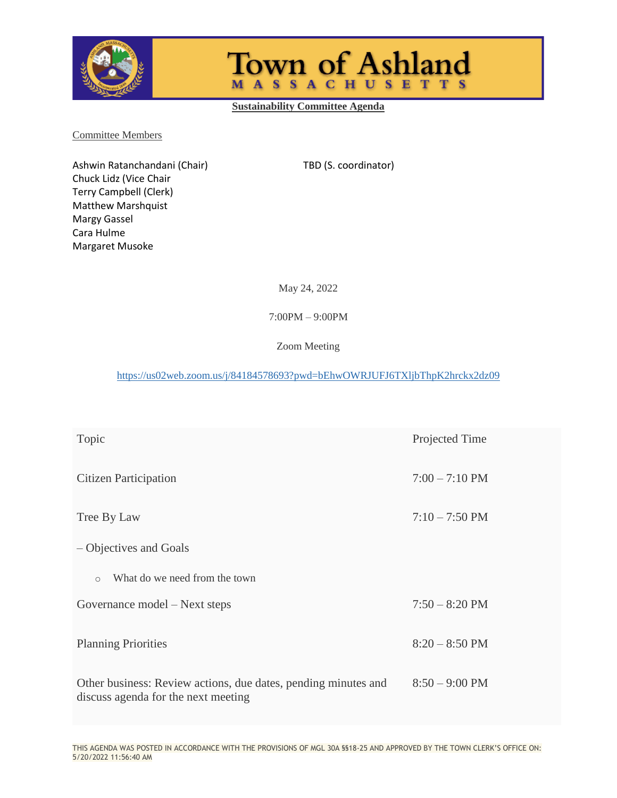

**Town of Ashland MASSACHUSETTS** 

**Sustainability Committee Agenda**

Committee Members

Ashwin Ratanchandani (Chair) TBD (S. coordinator) Chuck Lidz (Vice Chair Terry Campbell (Clerk) Matthew Marshquist Margy Gassel Cara Hulme Margaret Musoke

May 24, 2022

7:00PM – 9:00PM

Zoom Meeting

<https://us02web.zoom.us/j/84184578693?pwd=bEhwOWRJUFJ6TXljbThpK2hrckx2dz09>

| Topic                                                                                                 | Projected Time           |
|-------------------------------------------------------------------------------------------------------|--------------------------|
| Citizen Participation                                                                                 | $7:00 - 7:10 \text{ PM}$ |
| Tree By Law                                                                                           | $7:10 - 7:50 \text{ PM}$ |
| - Objectives and Goals                                                                                |                          |
| What do we need from the town<br>$\circ$                                                              |                          |
| Governance model – Next steps                                                                         | $7:50 - 8:20$ PM         |
| <b>Planning Priorities</b>                                                                            | $8:20 - 8:50$ PM         |
| Other business: Review actions, due dates, pending minutes and<br>discuss agenda for the next meeting | $8:50 - 9:00 \text{ PM}$ |